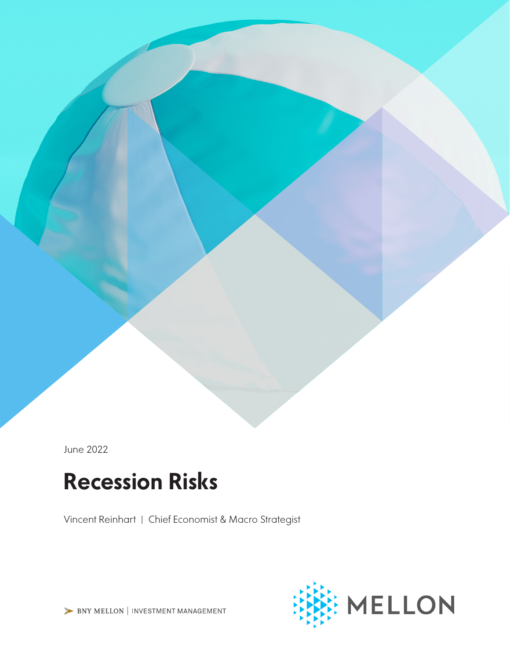June 2022

# Recession Risks

Vincent Reinhart | Chief Economist & Macro Strategist



BNY MELLON | INVESTMENT MANAGEMENT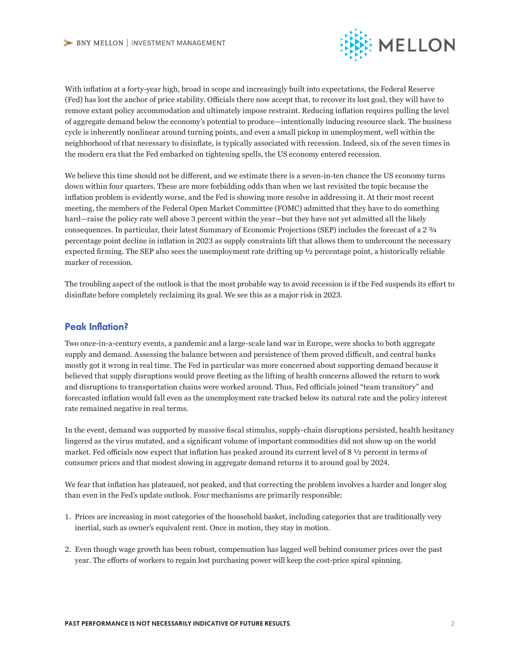

With inflation at a forty-year high, broad in scope and increasingly built into expectations, the Federal Reserve (Fed) has lost the anchor of price stability. Officials there now accept that, to recover its lost goal, they will have to remove extant policy accommodation and ultimately impose restraint. Reducing inflation requires pulling the level of aggregate demand below the economy's potential to produce—intentionally inducing resource slack. The business cycle is inherently nonlinear around turning points, and even a small pickup in unemployment, well within the neighborhood of that necessary to disinflate, is typically associated with recession. Indeed, six of the seven times in the modern era that the Fed embarked on tightening spells, the US economy entered recession.

We believe this time should not be different, and we estimate there is a seven-in-ten chance the US economy turns down within four quarters. These are more forbidding odds than when we last revisited the topic because the inflation problem is evidently worse, and the Fed is showing more resolve in addressing it. At their most recent meeting, the members of the Federal Open Market Committee (FOMC) admitted that they have to do something hard—raise the policy rate well above 3 percent within the year—but they have not yet admitted all the likely consequences. In particular, their latest Summary of Economic Projections (SEP) includes the forecast of a 2 3/4 percentage point decline in inflation in 2023 as supply constraints lift that allows them to undercount the necessary expected firming. The SEP also sees the unemployment rate drifting up ½ percentage point, a historically reliable marker of recession.

The troubling aspect of the outlook is that the most probable way to avoid recession is if the Fed suspends its effort to disinflate before completely reclaiming its goal. We see this as a major risk in 2023.

### Peak Inflation?

Two once-in-a-century events, a pandemic and a large-scale land war in Europe, were shocks to both aggregate supply and demand. Assessing the balance between and persistence of them proved difficult, and central banks mostly got it wrong in real time. The Fed in particular was more concerned about supporting demand because it believed that supply disruptions would prove fleeting as the lifting of health concerns allowed the return to work and disruptions to transportation chains were worked around. Thus, Fed officials joined "team transitory" and forecasted inflation would fall even as the unemployment rate tracked below its natural rate and the policy interest rate remained negative in real terms.

In the event, demand was supported by massive fiscal stimulus, supply-chain disruptions persisted, health hesitancy lingered as the virus mutated, and a significant volume of important commodities did not show up on the world market. Fed officials now expect that inflation has peaked around its current level of 8  $\frac{1}{2}$  percent in terms of consumer prices and that modest slowing in aggregate demand returns it to around goal by 2024.

We fear that inflation has plateaued, not peaked, and that correcting the problem involves a harder and longer slog than even in the Fed's update outlook. Four mechanisms are primarily responsible:

- 1. Prices are increasing in most categories of the household basket, including categories that are traditionally very inertial, such as owner's equivalent rent. Once in motion, they stay in motion.
- 2. Even though wage growth has been robust, compensation has lagged well behind consumer prices over the past year. The efforts of workers to regain lost purchasing power will keep the cost-price spiral spinning.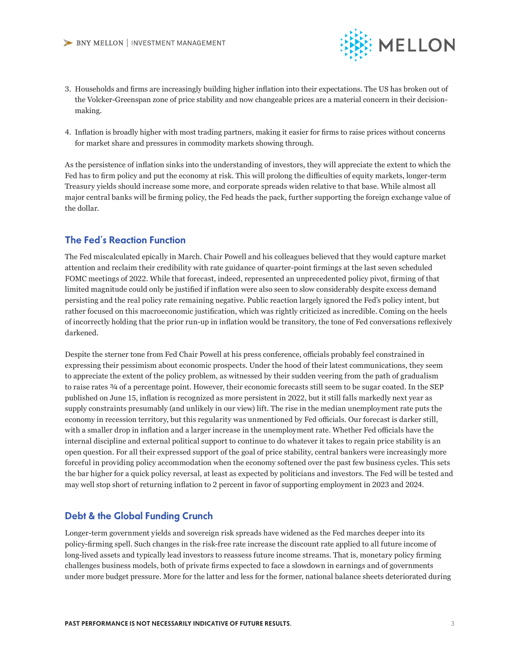

- 3. Households and firms are increasingly building higher inflation into their expectations. The US has broken out of the Volcker-Greenspan zone of price stability and now changeable prices are a material concern in their decisionmaking.
- 4. Inflation is broadly higher with most trading partners, making it easier for firms to raise prices without concerns for market share and pressures in commodity markets showing through.

As the persistence of inflation sinks into the understanding of investors, they will appreciate the extent to which the Fed has to firm policy and put the economy at risk. This will prolong the difficulties of equity markets, longer-term Treasury yields should increase some more, and corporate spreads widen relative to that base. While almost all major central banks will be firming policy, the Fed heads the pack, further supporting the foreign exchange value of the dollar.

## The Fed's Reaction Function

The Fed miscalculated epically in March. Chair Powell and his colleagues believed that they would capture market attention and reclaim their credibility with rate guidance of quarter-point firmings at the last seven scheduled FOMC meetings of 2022. While that forecast, indeed, represented an unprecedented policy pivot, firming of that limited magnitude could only be justified if inflation were also seen to slow considerably despite excess demand persisting and the real policy rate remaining negative. Public reaction largely ignored the Fed's policy intent, but rather focused on this macroeconomic justification, which was rightly criticized as incredible. Coming on the heels of incorrectly holding that the prior run-up in inflation would be transitory, the tone of Fed conversations reflexively darkened.

Despite the sterner tone from Fed Chair Powell at his press conference, officials probably feel constrained in expressing their pessimism about economic prospects. Under the hood of their latest communications, they seem to appreciate the extent of the policy problem, as witnessed by their sudden veering from the path of gradualism to raise rates ¾ of a percentage point. However, their economic forecasts still seem to be sugar coated. In the SEP published on June 15, inflation is recognized as more persistent in 2022, but it still falls markedly next year as supply constraints presumably (and unlikely in our view) lift. The rise in the median unemployment rate puts the economy in recession territory, but this regularity was unmentioned by Fed officials. Our forecast is darker still, with a smaller drop in inflation and a larger increase in the unemployment rate. Whether Fed officials have the internal discipline and external political support to continue to do whatever it takes to regain price stability is an open question. For all their expressed support of the goal of price stability, central bankers were increasingly more forceful in providing policy accommodation when the economy softened over the past few business cycles. This sets the bar higher for a quick policy reversal, at least as expected by politicians and investors. The Fed will be tested and may well stop short of returning inflation to 2 percent in favor of supporting employment in 2023 and 2024.

#### Debt & the Global Funding Crunch

Longer-term government yields and sovereign risk spreads have widened as the Fed marches deeper into its policy-firming spell. Such changes in the risk-free rate increase the discount rate applied to all future income of long-lived assets and typically lead investors to reassess future income streams. That is, monetary policy firming challenges business models, both of private firms expected to face a slowdown in earnings and of governments under more budget pressure. More for the latter and less for the former, national balance sheets deteriorated during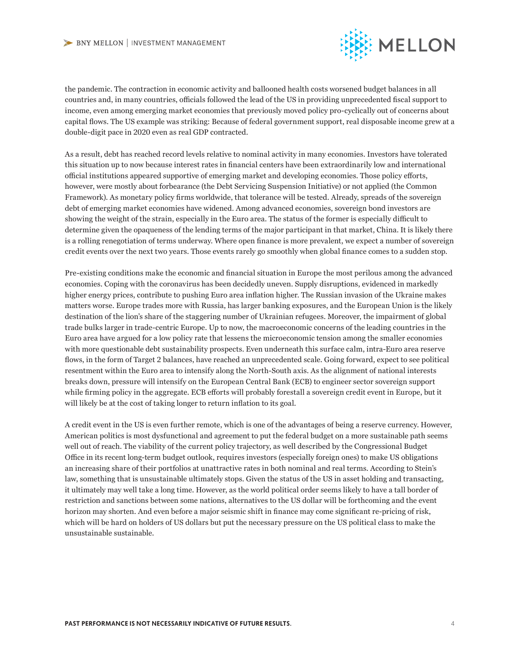

the pandemic. The contraction in economic activity and ballooned health costs worsened budget balances in all countries and, in many countries, officials followed the lead of the US in providing unprecedented fiscal support to income, even among emerging market economies that previously moved policy pro-cyclically out of concerns about capital flows. The US example was striking: Because of federal government support, real disposable income grew at a double-digit pace in 2020 even as real GDP contracted.

As a result, debt has reached record levels relative to nominal activity in many economies. Investors have tolerated this situation up to now because interest rates in financial centers have been extraordinarily low and international official institutions appeared supportive of emerging market and developing economies. Those policy efforts, however, were mostly about forbearance (the Debt Servicing Suspension Initiative) or not applied (the Common Framework). As monetary policy firms worldwide, that tolerance will be tested. Already, spreads of the sovereign debt of emerging market economies have widened. Among advanced economies, sovereign bond investors are showing the weight of the strain, especially in the Euro area. The status of the former is especially difficult to determine given the opaqueness of the lending terms of the major participant in that market, China. It is likely there is a rolling renegotiation of terms underway. Where open finance is more prevalent, we expect a number of sovereign credit events over the next two years. Those events rarely go smoothly when global finance comes to a sudden stop.

Pre-existing conditions make the economic and financial situation in Europe the most perilous among the advanced economies. Coping with the coronavirus has been decidedly uneven. Supply disruptions, evidenced in markedly higher energy prices, contribute to pushing Euro area inflation higher. The Russian invasion of the Ukraine makes matters worse. Europe trades more with Russia, has larger banking exposures, and the European Union is the likely destination of the lion's share of the staggering number of Ukrainian refugees. Moreover, the impairment of global trade bulks larger in trade-centric Europe. Up to now, the macroeconomic concerns of the leading countries in the Euro area have argued for a low policy rate that lessens the microeconomic tension among the smaller economies with more questionable debt sustainability prospects. Even underneath this surface calm, intra-Euro area reserve flows, in the form of Target 2 balances, have reached an unprecedented scale. Going forward, expect to see political resentment within the Euro area to intensify along the North-South axis. As the alignment of national interests breaks down, pressure will intensify on the European Central Bank (ECB) to engineer sector sovereign support while firming policy in the aggregate. ECB efforts will probably forestall a sovereign credit event in Europe, but it will likely be at the cost of taking longer to return inflation to its goal.

A credit event in the US is even further remote, which is one of the advantages of being a reserve currency. However, American politics is most dysfunctional and agreement to put the federal budget on a more sustainable path seems well out of reach. The viability of the current policy trajectory, as well described by the Congressional Budget Office in its recent long-term budget outlook, requires investors (especially foreign ones) to make US obligations an increasing share of their portfolios at unattractive rates in both nominal and real terms. According to Stein's law, something that is unsustainable ultimately stops. Given the status of the US in asset holding and transacting, it ultimately may well take a long time. However, as the world political order seems likely to have a tall border of restriction and sanctions between some nations, alternatives to the US dollar will be forthcoming and the event horizon may shorten. And even before a major seismic shift in finance may come significant re-pricing of risk, which will be hard on holders of US dollars but put the necessary pressure on the US political class to make the unsustainable sustainable.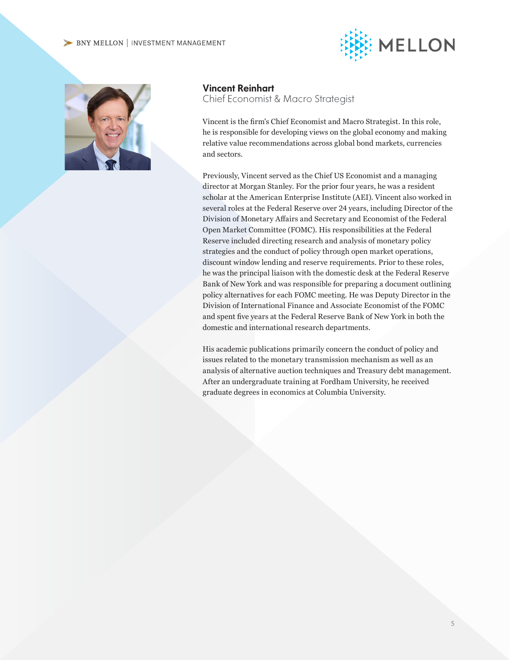#### BNY MELLON | INVESTMENT MANAGEMENT





Vincent Reinhart

Chief Economist & Macro Strategist

Vincent is the firm's Chief Economist and Macro Strategist. In this role, he is responsible for developing views on the global economy and making relative value recommendations across global bond markets, currencies and sectors.

Previously, Vincent served as the Chief US Economist and a managing director at Morgan Stanley. For the prior four years, he was a resident scholar at the American Enterprise Institute (AEI). Vincent also worked in several roles at the Federal Reserve over 24 years, including Director of the Division of Monetary Affairs and Secretary and Economist of the Federal Open Market Committee (FOMC). His responsibilities at the Federal Reserve included directing research and analysis of monetary policy strategies and the conduct of policy through open market operations, discount window lending and reserve requirements. Prior to these roles, he was the principal liaison with the domestic desk at the Federal Reserve Bank of New York and was responsible for preparing a document outlining policy alternatives for each FOMC meeting. He was Deputy Director in the Division of International Finance and Associate Economist of the FOMC and spent five years at the Federal Reserve Bank of New York in both the domestic and international research departments.

His academic publications primarily concern the conduct of policy and issues related to the monetary transmission mechanism as well as an analysis of alternative auction techniques and Treasury debt management. After an undergraduate training at Fordham University, he received graduate degrees in economics at Columbia University.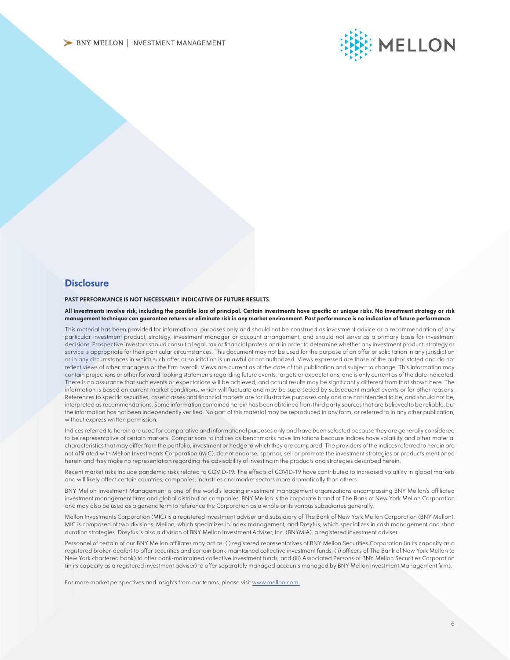

#### **Disclosure**

#### PAST PERFORMANCE IS NOT NECESSARILY INDICATIVE OF FUTURE RESULTS.

All investments involve risk, including the possible loss of principal. Certain investments have specific or unique risks. No investment strategy or risk management technique can guarantee returns or eliminate risk in any market environment. Past performance is no indication of future performance.

This material has been provided for informational purposes only and should not be construed as investment advice or a recommendation of any particular investment product, strategy, investment manager or account arrangement, and should not serve as a primary basis for investment decisions. Prospective investors should consult a legal, tax or financial professional in order to determine whether any investment product, strategy or service is appropriate for their particular circumstances. This document may not be used for the purpose of an offer or solicitation in any jurisdiction or in any circumstances in which such offer or solicitation is unlawful or not authorized. Views expressed are those of the author stated and do not reflect views of other managers or the firm overall. Views are current as of the date of this publication and subject to change. This information may contain projections or other forward-looking statements regarding future events, targets or expectations, and is only current as of the date indicated. There is no assurance that such events or expectations will be achieved, and actual results may be significantly different from that shown here. The information is based on current market conditions, which will fluctuate and may be superseded by subsequent market events or for other reasons. References to specific securities, asset classes and financial markets are for illustrative purposes only and are not intended to be, and should not be, interpreted as recommendations. Some information contained herein has been obtained from third party sources that are believed to be reliable, but the information has not been independently verified. No part of this material may be reproduced in any form, or referred to in any other publication, without express written permission.

Indices referred to herein are used for comparative and informational purposes only and have been selected because they are generally considered to be representative of certain markets. Comparisons to indices as benchmarks have limitations because indices have volatility and other material characteristics that may differ from the portfolio, investment or hedge to which they are compared. The providers of the indices referred to herein are not affiliated with Mellon Investments Corporation (MIC), do not endorse, sponsor, sell or promote the investment strategies or products mentioned herein and they make no representation regarding the advisability of investing in the products and strategies described herein.

Recent market risks include pandemic risks related to COVID-19. The effects of COVID-19 have contributed to increased volatility in global markets and will likely affect certain countries, companies, industries and market sectors more dramatically than others.

BNY Mellon Investment Management is one of the world's leading investment management organizations encompassing BNY Mellon's affiliated investment management firms and global distribution companies. BNY Mellon is the corporate brand of The Bank of New York Mellon Corporation and may also be used as a generic term to reference the Corporation as a whole or its various subsidiaries generally.

Mellon Investments Corporation (MIC) is a registered investment adviser and subsidiary of The Bank of New York Mellon Corporation (BNY Mellon). MIC is composed of two divisions: Mellon, which specializes in index management, and Dreyfus, which specializes in cash management and short duration strategies. Dreyfus is also a division of BNY Mellon Investment Adviser, Inc. (BNYMIA), a registered investment adviser.

Personnel of certain of our BNY Mellon affiliates may act as: (i) registered representatives of BNY Mellon Securities Corporation (in its capacity as a registered broker-dealer) to offer securities and certain bank-maintained collective investment funds, (ii) officers of The Bank of New York Mellon (a New York chartered bank) to offer bank-maintained collective investment funds, and (iii) Associated Persons of BNY Mellon Securities Corporation (in its capacity as a registered investment adviser) to offer separately managed accounts managed by BNY Mellon Investment Management firms.

For more market perspectives and insights from our teams, please visit [www.mellon.com.](http://www.mellon.com)